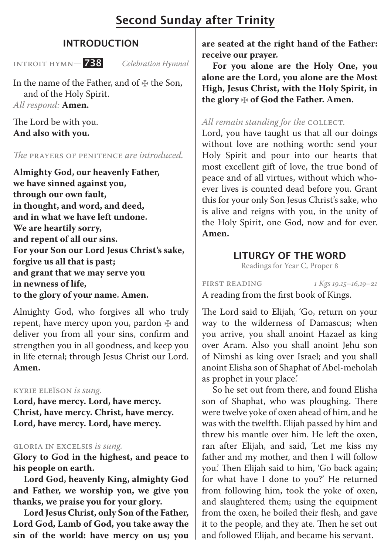# Second Sunday after Trinity

## INTRODUCTION

Introit Hymn*—* 738 *Celebration Hymnal*

In the name of the Father, and of  $\pm$  the Son, and of the Holy Spirit. *All respond:* **Amen.**

The Lord be with you. **And also with you.**

#### *The* Prayers of Penitence *are introduced.*

**Almighty God, our heavenly Father, we have sinned against you, through our own fault, in thought, and word, and deed, and in what we have left undone. We are heartily sorry, and repent of all our sins. For your Son our Lord Jesus Christ's sake, forgive us all that is past; and grant that we may serve you in newness of life, to the glory of your name. Amen.**

Almighty God, who forgives all who truly repent, have mercy upon you, pardon ⊬ and deliver you from all your sins, confirm and strengthen you in all goodness, and keep you in life eternal; through Jesus Christ our Lord. **Amen.**

#### Kyrie Eleïson *is sung.*

**Lord, have mercy. Lord, have mercy. Christ, have mercy. Christ, have mercy. Lord, have mercy. Lord, have mercy.**

#### Gloria in Excelsis *is sung.*

**Glory to God in the highest, and peace to his people on earth.** 

**Lord God, heavenly King, almighty God and Father, we worship you, we give you thanks, we praise you for your glory.** 

**Lord Jesus Christ, only Son of the Father, Lord God, Lamb of God, you take away the sin of the world: have mercy on us; you**  **are seated at the right hand of the Father: receive our prayer.** 

**For you alone are the Holy One, you alone are the Lord, you alone are the Most High, Jesus Christ, with the Holy Spirit, in the glory** ✠ **of God the Father. Amen.**

#### *All remain standing for the COLLECT.*

Lord, you have taught us that all our doings without love are nothing worth: send your Holy Spirit and pour into our hearts that most excellent gift of love, the true bond of peace and of all virtues, without which whoever lives is counted dead before you. Grant this for your only Son Jesus Christ's sake, who is alive and reigns with you, in the unity of the Holy Spirit, one God, now and for ever. **Amen.**

#### LITURGY OF THE WORD

Readings for Year C, Proper 8

First Reading *1 Kgs 19.15–16,19–21* A reading from the first book of Kings.

The Lord said to Elijah, 'Go, return on your way to the wilderness of Damascus; when you arrive, you shall anoint Hazael as king over Aram. Also you shall anoint Jehu son of Nimshi as king over Israel; and you shall anoint Elisha son of Shaphat of Abel-meholah as prophet in your place.'

So he set out from there, and found Elisha son of Shaphat, who was ploughing. There were twelve yoke of oxen ahead of him, and he was with the twelfth. Elijah passed by him and threw his mantle over him. He left the oxen, ran after Elijah, and said, 'Let me kiss my father and my mother, and then I will follow you.' Then Elijah said to him, 'Go back again; for what have I done to you?' He returned from following him, took the yoke of oxen, and slaughtered them; using the equipment from the oxen, he boiled their flesh, and gave it to the people, and they ate. Then he set out and followed Elijah, and became his servant.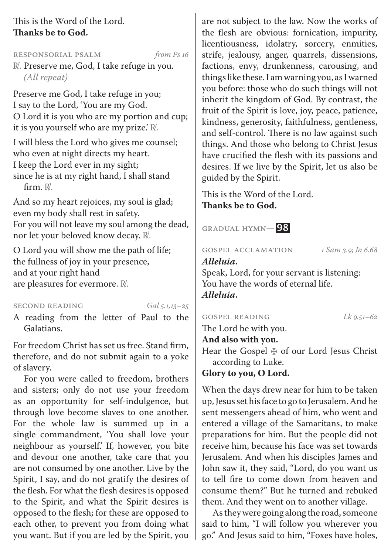## This is the Word of the Lord. **Thanks be to God.**

Responsorial Psalm *from Ps 16*

R. Preserve me, God, I take refuge in you. *(All repeat)*

Preserve me God, I take refuge in you; I say to the Lord, 'You are my God. O Lord it is you who are my portion and cup; it is you yourself who are my prize.' R.

I will bless the Lord who gives me counsel; who even at night directs my heart. I keep the Lord ever in my sight; since he is at my right hand, I shall stand firm.  $\mathbb{R}^7$ 

And so my heart rejoices, my soul is glad; even my body shall rest in safety. For you will not leave my soul among the dead, nor let your beloved know decay. R.

O Lord you will show me the path of life; the fullness of joy in your presence, and at your right hand are pleasures for evermore. R.

Second Reading *Gal 5.1,13–25*

A reading from the letter of Paul to the Galatians.

For freedom Christ has set us free. Stand firm, therefore, and do not submit again to a yoke of slavery.

For you were called to freedom, brothers and sisters; only do not use your freedom as an opportunity for self-indulgence, but through love become slaves to one another. For the whole law is summed up in a single commandment, 'You shall love your neighbour as yourself.' If, however, you bite and devour one another, take care that you are not consumed by one another. Live by the Spirit, I say, and do not gratify the desires of the flesh. For what the flesh desires is opposed to the Spirit, and what the Spirit desires is opposed to the flesh; for these are opposed to each other, to prevent you from doing what you want. But if you are led by the Spirit, you are not subject to the law. Now the works of the flesh are obvious: fornication, impurity, licentiousness, idolatry, sorcery, enmities, strife, jealousy, anger, quarrels, dissensions, factions, envy, drunkenness, carousing, and things like these. I am warning you, as I warned you before: those who do such things will not inherit the kingdom of God. By contrast, the fruit of the Spirit is love, joy, peace, patience, kindness, generosity, faithfulness, gentleness, and self-control. There is no law against such things. And those who belong to Christ Jesus have crucified the flesh with its passions and desires. If we live by the Spirit, let us also be guided by the Spirit.

This is the Word of the Lord. **Thanks be to God.**

Gradual Hymn*—* 98

Gospel Acclamation *1 Sam 3.9; Jn 6.68*

# *Alleluia.*

Speak, Lord, for your servant is listening: You have the words of eternal life. *Alleluia.*

Gospel Reading *Lk 9.51–62*

The Lord be with you.

## **And also with you.**

Hear the Gospel ⊕ of our Lord Jesus Christ according to Luke.

**Glory to you, O Lord.**

When the days drew near for him to be taken up, Jesus set his face to go to Jerusalem. And he sent messengers ahead of him, who went and entered a village of the Samaritans, to make preparations for him. But the people did not receive him, because his face was set towards Jerusalem. And when his disciples James and John saw it, they said, "Lord, do you want us to tell fire to come down from heaven and consume them?" But he turned and rebuked them. And they went on to another village.

As they were going along the road, someone said to him, "I will follow you wherever you go." And Jesus said to him, "Foxes have holes,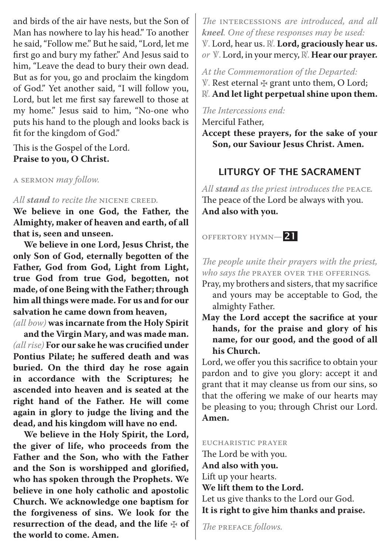and birds of the air have nests, but the Son of Man has nowhere to lay his head." To another he said, "Follow me." But he said, "Lord, let me first go and bury my father." And Jesus said to him, "Leave the dead to bury their own dead. But as for you, go and proclaim the kingdom of God." Yet another said, "I will follow you, Lord, but let me first say farewell to those at my home." Jesus said to him, "No-one who puts his hand to the plough and looks back is fit for the kingdom of God."

This is the Gospel of the Lord. **Praise to you, O Christ.**

A Sermon *may follow.*

### *All stand to recite the* Nicene Creed*.*

**We believe in one God, the Father, the Almighty, maker of heaven and earth, of all that is, seen and unseen.** 

**We believe in one Lord, Jesus Christ, the only Son of God, eternally begotten of the Father, God from God, Light from Light, true God from true God, begotten, not made, of one Being with the Father; through him all things were made. For us and for our salvation he came down from heaven,** 

*(all bow)* **was incarnate from the Holy Spirit and the Virgin Mary, and was made man.** 

*(all rise)* **For our sake he was crucified under Pontius Pilate; he suffered death and was buried. On the third day he rose again in accordance with the Scriptures; he ascended into heaven and is seated at the right hand of the Father. He will come again in glory to judge the living and the dead, and his kingdom will have no end.** 

**We believe in the Holy Spirit, the Lord, the giver of life, who proceeds from the Father and the Son, who with the Father and the Son is worshipped and glorified, who has spoken through the Prophets. We believe in one holy catholic and apostolic Church. We acknowledge one baptism for the forgiveness of sins. We look for the resurrection of the dead, and the life** ✠ **of the world to come. Amen.**

*The* Intercessions *are introduced, and all kneel. One of these responses may be used:*

℣. Lord, hear us. ℟. **Lord, graciously hear us.** *or* ℣. Lord, in your mercy, ℟. **Hear our prayer.**

*At the Commemoration of the Departed:*

W. Rest eternal  $\&$  grant unto them, O Lord;

 $\mathbb{R}$ . And let light perpetual shine upon them.

*The Intercessions end:* Merciful Father,

**Accept these prayers, for the sake of your Son, our Saviour Jesus Christ. Amen.**

## LITURGY OF THE SACRAMENT

*All stand as the priest introduces the* Peace*.*  The peace of the Lord be always with you. **And also with you.**

Offertory Hymn*—* 21

*The people unite their prayers with the priest, who says the* Prayer over the Offerings*.*

- Pray, my brothers and sisters, that my sacrifice and yours may be acceptable to God, the almighty Father.
- **May the Lord accept the sacrifice at your hands, for the praise and glory of his name, for our good, and the good of all his Church.**

Lord, we offer you this sacrifice to obtain your pardon and to give you glory: accept it and grant that it may cleanse us from our sins, so that the offering we make of our hearts may be pleasing to you; through Christ our Lord. **Amen.**

#### Eucharistic Prayer

The Lord be with you. **And also with you.** Lift up your hearts. **We lift them to the Lord.** Let us give thanks to the Lord our God. **It is right to give him thanks and praise.**

*The* Preface *follows.*